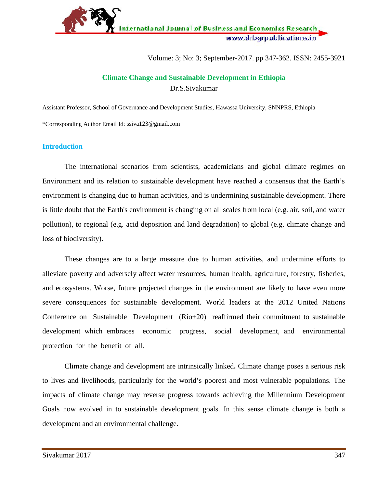

Volume: 3; No: 3; September-2017. pp 347-362. ISSN: 2455-3921

# **Climate Change and Sustainable Development in Ethiopia** Dr.S.Sivakumar

Assistant Professor, School of Governance and Development Studies, Hawassa University, SNNPRS, Ethiopia \*Corresponding Author Email Id: ssiva123@gmail.com

# **Introduction**

The international scenarios from scientists, academicians and global climate regimes on Environment and its relation to sustainable development have reached a consensus that the Earth's environment is changing due to human activities, and is undermining sustainable development. There is little doubt that the Earth's environment is changing on all scales from local (e.g. air, soil, and water pollution), to regional (e.g. acid deposition and land degradation) to global (e.g. climate change and loss of biodiversity).

These changes are to a large measure due to human activities, and undermine efforts to alleviate poverty and adversely affect water resources, human health, agriculture, forestry, fisheries, and ecosystems. Worse, future projected changes in the environment are likely to have even more severe consequences for sustainable development. World leaders at the 2012 United Nations Conference on Sustainable Development (Rio+20) reaffirmed their commitment to sustainable development which embraces economic progress, social development, and environmental protection for the benefit of all.

Climate change and development are intrinsically linked**.** Climate change poses a serious risk to lives and livelihoods, particularly for the world's poorest and most vulnerable populations. The impacts of climate change may reverse progress towards achieving the Millennium Development Goals now evolved in to sustainable development goals. In this sense climate change is both a development and an environmental challenge.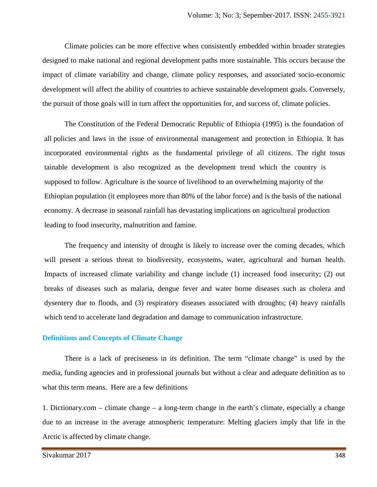Climate policies can be more effective when consistently embedded within broader strategies designed to make national and regional development paths more sustainable. This occurs because the impact of climate variability and change, climate policy responses, and associated socio-economic development will affect the ability of countries to achieve sustainable development goals. Conversely, the pursuit of those goals will in turn affect the opportunities for, and success of, climate policies.

The Constitution of the Federal Democratic Republic of Ethiopia (1995) is the foundation of all policies and laws in the issue of environmental management and protection in Ethiopia. It has incorporated environmental rights as the fundamental privilege of all citizens. The right tosus tainable development is also recognized as the development trend which the country is supposed to follow. Agriculture is the source of livelihood to an overwhelming majority of the Ethiopian population (it employees more than 80% of the labor force) and is the basis of the national economy. A decrease in seasonal rainfall has devastating implications on agricultural production leading to food insecurity, malnutrition and famine.

The frequency and intensity of drought is likely to increase over the coming decades, which will present a serious threat to biodiversity, ecosystems, water, agricultural and human health. Impacts of increased climate variability and change include (1) increased food insecurity; (2) out breaks of diseases such as malaria, dengue fever and water borne diseases such as cholera and dysentery due to floods, and (3) respiratory diseases associated with droughts; (4) heavy rainfalls which tend to accelerate land degradation and damage to communication infrastructure.

## **Definitions and Concepts of Climate Change**

There is a lack of preciseness in its definition. The term "climate change" is used by the media, funding agencies and in professional journals but without a clear and adequate definition as to what this term means. Here are a few definitions

1. Dictionary.com – climate change – a long-term change in the earth's climate, especially a change due to an increase in the average atmospheric temperature: Melting glaciers imply that life in the Arctic is affected by climate change.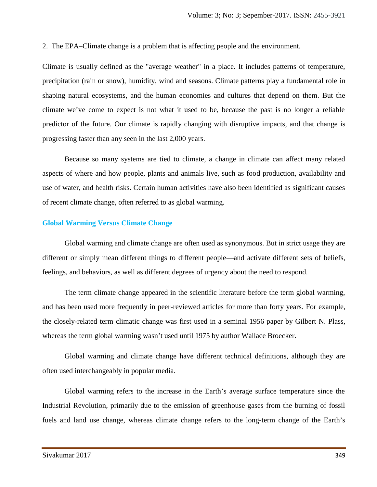2. The EPA–Climate change is a problem that is affecting people and the environment.

Climate is usually defined as the "average weather" in a place. It includes patterns of temperature, precipitation (rain or snow), humidity, wind and seasons. Climate patterns play a fundamental role in shaping natural ecosystems, and the human economies and cultures that depend on them. But the climate we've come to expect is not what it used to be, because the past is no longer a reliable predictor of the future. Our climate is rapidly changing with disruptive impacts, and that change is progressing faster than any seen in the last 2,000 years.

Because so many systems are tied to climate, a change in climate can affect many related aspects of where and how people, plants and animals live, such as food production, availability and use of water, and health risks. Certain human activities have also been identified as significant causes of recent climate change, often referred to as global warming.

# **Global Warming Versus Climate Change**

Global warming and climate change are often used as synonymous. But in strict usage they are different or simply mean different things to different people—and activate different sets of beliefs, feelings, and behaviors, as well as different degrees of urgency about the need to respond.

The term climate change appeared in the scientific literature before the term global warming, and has been used more frequently in peer-reviewed articles for more than forty years. For example, the closely-related term climatic change was first used in a seminal 1956 paper by Gilbert N. Plass, whereas the term global warming wasn't used until 1975 by author Wallace Broecker.

Global warming and climate change have different technical definitions, although they are often used interchangeably in popular media.

Global warming refers to the increase in the Earth's average surface temperature since the Industrial Revolution, primarily due to the emission of greenhouse gases from the burning of fossil fuels and land use change, whereas climate change refers to the long-term change of the Earth's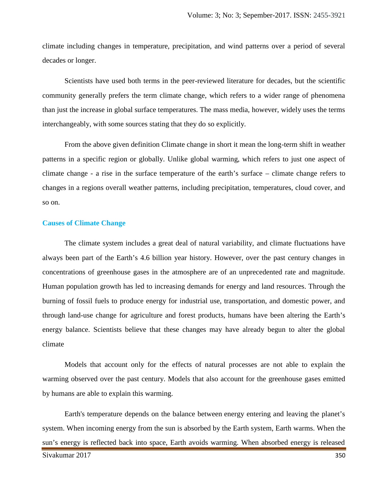climate including changes in temperature, precipitation, and wind patterns over a period of several decades or longer.

Scientists have used both terms in the peer-reviewed literature for decades, but the scientific community generally prefers the term climate change, which refers to a wider range of phenomena than just the increase in global surface temperatures. The mass media, however, widely uses the terms interchangeably, with some sources stating that they do so explicitly.

From the above given definition Climate change in short it mean the long-term shift in weather patterns in a specific region or globally. Unlike global warming, which refers to just one aspect of climate change - a rise in the surface temperature of the earth's surface – climate change refers to changes in a regions overall weather patterns, including precipitation, temperatures, cloud cover, and so on.

## **Causes of Climate Change**

The climate system includes a great deal of natural variability, and climate fluctuations have always been part of the Earth's 4.6 billion year history. However, over the past century changes in concentrations of greenhouse gases in the atmosphere are of an unprecedented rate and magnitude. Human population growth has led to increasing demands for energy and land resources. Through the burning of fossil fuels to produce energy for industrial use, transportation, and domestic power, and through land-use change for agriculture and forest products, humans have been altering the Earth's energy balance. Scientists believe that these changes may have already begun to alter the global climate

Models that account only for the effects of natural processes are not able to explain the warming observed over the past century. Models that also account for the greenhouse gases emitted by humans are able to explain this warming.

Sivakumar 2017 350 Earth's temperature depends on the balance between energy entering and leaving the planet's system. When incoming energy from the sun is absorbed by the Earth system, Earth warms. When the sun's energy is reflected back into space, Earth avoids warming. When absorbed energy is released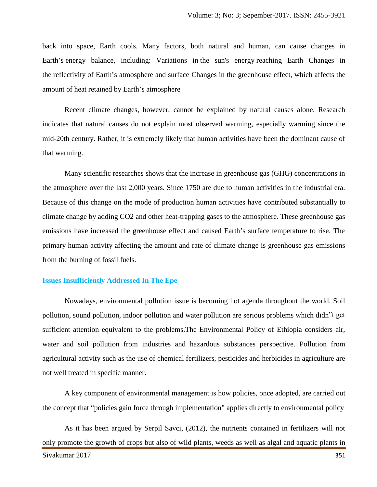back into space, Earth cools. Many factors, both natural and human, can cause changes in Earth's energy balance, including: Variations in the sun's energy reaching Earth Changes in the reflectivity of Earth's atmosphere and surface Changes in the greenhouse effect, which affects the amount of heat retained by Earth's atmosphere

Recent climate changes, however, cannot be explained by natural causes alone. Research indicates that natural causes do not explain most observed warming, especially warming since the mid-20th century. Rather, it is extremely likely that human activities have been the dominant cause of that warming.

Many scientific researches shows that the increase in greenhouse gas (GHG) concentrations in the atmosphere over the last 2,000 years. Since 1750 are due to human activities in the industrial era. Because of this change on the mode of production human activities have contributed substantially to climate change by adding CO2 and other heat-trapping gases to the atmosphere. These greenhouse gas emissions have increased the greenhouse effect and caused Earth's surface temperature to rise. The primary human activity affecting the amount and rate of climate change is greenhouse gas emissions from the burning of fossil fuels.

#### **Issues Insufficiently Addressed In The Epe**

Nowadays, environmental pollution issue is becoming hot agenda throughout the world. Soil pollution, sound pollution, indoor pollution and water pollution are serious problems which didn"t get sufficient attention equivalent to the problems.The Environmental Policy of Ethiopia considers air, water and soil pollution from industries and hazardous substances perspective. Pollution from agricultural activity such as the use of chemical fertilizers, pesticides and herbicides in agriculture are not well treated in specific manner.

A key component of environmental management is how policies, once adopted, are carried out the concept that "policies gain force through implementation" applies directly to environmental policy

Sivakumar 2017 351 As it has been argued by Serpil Savci, (2012), the nutrients contained in fertilizers will not only promote the growth of crops but also of wild plants, weeds as well as algal and aquatic plants in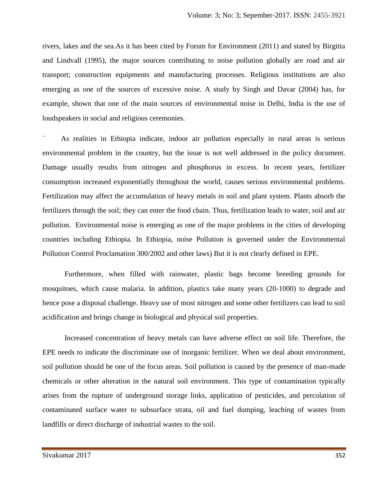rivers, lakes and the sea.As it has been cited by Forum for Environment (2011) and stated by Birgitta and Lindvall (1995), the major sources contributing to noise pollution globally are road and air transport; construction equipments and manufacturing processes. Religious institutions are also emerging as one of the sources of excessive noise. A study by Singh and Davar (2004) has, for example, shown that one of the main sources of environmental noise in Delhi, India is the use of loudspeakers in social and religious ceremonies.

As realities in Ethiopia indicate, indoor air pollution especially in rural areas is serious environmental problem in the country, but the issue is not well addressed in the policy document. Damage usually results from nitrogen and phosphorus in excess. In recent years, fertilizer consumption increased exponentially throughout the world, causes serious environmental problems. Fertilization may affect the accumulation of heavy metals in soil and plant system. Plants absorb the fertilizers through the soil; they can enter the food chain. Thus, fertilization leads to water, soil and air pollution. Environmental noise is emerging as one of the major problems in the cities of developing countries including Ethiopia. In Ethiopia, noise Pollution is governed under the Environmental Pollution Control Proclamation 300/2002 and other laws) But it is not clearly defined in EPE.

Furthermore, when filled with rainwater, plastic bags become breeding grounds for mosquitoes, which cause malaria. In addition, plastics take many years (20-1000) to degrade and hence pose a disposal challenge. Heavy use of most nitrogen and some other fertilizers can lead to soil acidification and brings change in biological and physical soil properties.

Increased concentration of heavy metals can have adverse effect on soil life. Therefore, the EPE needs to indicate the discriminate use of inorganic fertilizer. When we deal about environment, soil pollution should be one of the focus areas. Soil pollution is caused by the presence of man-made chemicals or other alteration in the natural soil environment. This type of contamination typically arises from the rupture of underground storage links, application of pesticides, and percolation of contaminated surface water to subsurface strata, oil and fuel dumping, leaching of wastes from landfills or direct discharge of industrial wastes to the soil.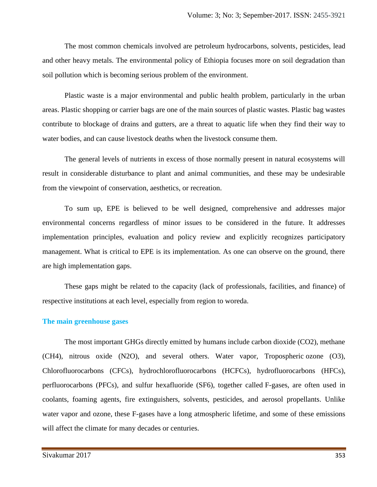The most common chemicals involved are petroleum hydrocarbons, solvents, pesticides, lead and other heavy metals. The environmental policy of Ethiopia focuses more on soil degradation than soil pollution which is becoming serious problem of the environment.

Plastic waste is a major environmental and public health problem, particularly in the urban areas. Plastic shopping or carrier bags are one of the main sources of plastic wastes. Plastic bag wastes contribute to blockage of drains and gutters, are a threat to aquatic life when they find their way to water bodies, and can cause livestock deaths when the livestock consume them.

The general levels of nutrients in excess of those normally present in natural ecosystems will result in considerable disturbance to plant and animal communities, and these may be undesirable from the viewpoint of conservation, aesthetics, or recreation.

To sum up, EPE is believed to be well designed, comprehensive and addresses major environmental concerns regardless of minor issues to be considered in the future. It addresses implementation principles, evaluation and policy review and explicitly recognizes participatory management. What is critical to EPE is its implementation. As one can observe on the ground, there are high implementation gaps.

These gaps might be related to the capacity (lack of professionals, facilities, and finance) of respective institutions at each level, especially from region to woreda.

# **The main greenhouse gases**

The most important GHGs directly emitted by humans include carbon dioxide (CO2), methane (CH4), nitrous oxide (N2O), and several others. Water vapor, Tropospheric ozone (O3), Chlorofluorocarbons (CFCs), hydrochlorofluorocarbons (HCFCs), hydrofluorocarbons (HFCs), perfluorocarbons (PFCs), and sulfur hexafluoride (SF6), together called F-gases, are often used in coolants, foaming agents, fire extinguishers, solvents, pesticides, and aerosol propellants. Unlike water vapor and ozone, these F-gases have a long atmospheric lifetime, and some of these emissions will affect the climate for many decades or centuries.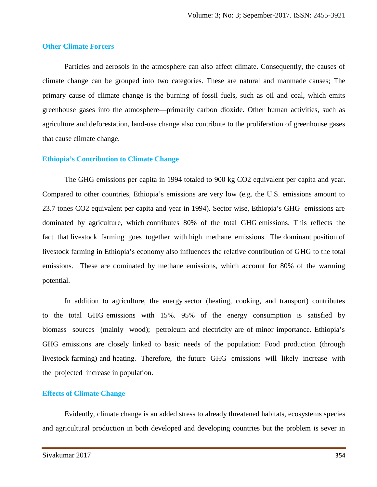#### **Other Climate Forcers**

Particles and aerosols in the atmosphere can also affect climate. Consequently, the causes of climate change can be grouped into two categories. These are natural and manmade causes; The primary cause of climate change is the burning of fossil fuels, such as oil and coal, which emits greenhouse gases into the atmosphere—primarily carbon dioxide. Other human activities, such as agriculture and deforestation, land-use change also contribute to the proliferation of greenhouse gases that cause climate change.

#### **Ethiopia's Contribution to Climate Change**

The GHG emissions per capita in 1994 totaled to 900 kg CO2 equivalent per capita and year. Compared to other countries, Ethiopia's emissions are very low (e.g. the U.S. emissions amount to 23.7 tones CO2 equivalent per capita and year in 1994). Sector wise, Ethiopia's GHG emissions are dominated by agriculture, which contributes 80% of the total GHG emissions. This reflects the fact that livestock farming goes together with high methane emissions. The dominant position of livestock farming in Ethiopia's economy also influences the relative contribution of GHG to the total emissions. These are dominated by methane emissions, which account for 80% of the warming potential.

In addition to agriculture, the energy sector (heating, cooking, and transport) contributes to the total GHG emissions with 15%. 95% of the energy consumption is satisfied by biomass sources (mainly wood); petroleum and electricity are of minor importance. Ethiopia's GHG emissions are closely linked to basic needs of the population: Food production (through livestock farming) and heating. Therefore, the future GHG emissions will likely increase with the projected increase in population.

#### **Effects of Climate Change**

Evidently, climate change is an added stress to already threatened habitats, ecosystems species and agricultural production in both developed and developing countries but the problem is sever in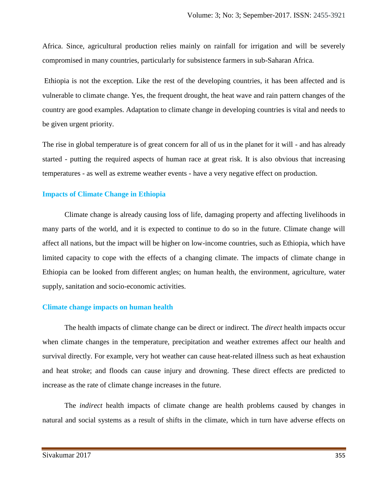Africa. Since, agricultural production relies mainly on rainfall for irrigation and will be severely compromised in many countries, particularly for subsistence farmers in sub-Saharan Africa.

Ethiopia is not the exception. Like the rest of the developing countries, it has been affected and is vulnerable to climate change. Yes, the frequent drought, the heat wave and rain pattern changes of the country are good examples. Adaptation to climate change in developing countries is vital and needs to be given urgent priority.

The rise in global temperature is of great concern for all of us in the planet for it will - and has already started - putting the required aspects of human race at great risk. It is also obvious that increasing temperatures - as well as extreme weather events - have a very negative effect on production.

## **Impacts of Climate Change in Ethiopia**

Climate change is already causing loss of life, damaging property and affecting livelihoods in many parts of the world, and it is expected to continue to do so in the future. Climate change will affect all nations, but the impact will be higher on low-income countries, such as Ethiopia, which have limited capacity to cope with the effects of a changing climate. The impacts of climate change in Ethiopia can be looked from different angles; on human health, the environment, agriculture, water supply, sanitation and socio-economic activities.

# **Climate change impacts on human health**

The health impacts of climate change can be direct or indirect. The *direct* health impacts occur when climate changes in the temperature, precipitation and weather extremes affect our health and survival directly. For example, very hot weather can cause heat-related illness such as heat exhaustion and heat stroke; and floods can cause injury and drowning. These direct effects are predicted to increase as the rate of climate change increases in the future.

The *indirect* health impacts of climate change are health problems caused by changes in natural and social systems as a result of shifts in the climate, which in turn have adverse effects on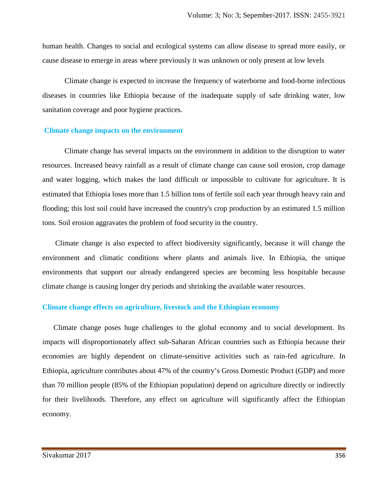human health. Changes to social and ecological systems can allow disease to spread more easily, or cause disease to emerge in areas where previously it was unknown or only present at low levels

Climate change is expected to increase the frequency of waterborne and food-borne infectious diseases in countries like Ethiopia because of the inadequate supply of safe drinking water, low sanitation coverage and poor hygiene practices.

#### **Climate change impacts on the environment**

Climate change has several impacts on the environment in addition to the disruption to water resources. Increased heavy rainfall as a result of climate change can cause soil erosion, crop damage and water logging, which makes the land difficult or impossible to cultivate for agriculture. It is estimated that Ethiopia loses more than 1.5 billion tons of fertile soil each year through heavy rain and flooding; this lost soil could have increased the country's crop production by an estimated 1.5 million tons. Soil erosion aggravates the problem of food security in the country.

Climate change is also expected to affect biodiversity significantly, because it will change the environment and climatic conditions where plants and animals live. In Ethiopia, the unique environments that support our already endangered species are becoming less hospitable because climate change is causing longer dry periods and shrinking the available water resources.

#### **Climate change effects on agriculture, livestock and the Ethiopian economy**

Climate change poses huge challenges to the global economy and to social development. Its impacts will disproportionately affect sub-Saharan African countries such as Ethiopia because their economies are highly dependent on climate-sensitive activities such as rain-fed agriculture. In Ethiopia, agriculture contributes about 47% of the country's Gross Domestic Product (GDP) and more than 70 million people (85% of the Ethiopian population) depend on agriculture directly or indirectly for their livelihoods. Therefore, any effect on agriculture will significantly affect the Ethiopian economy.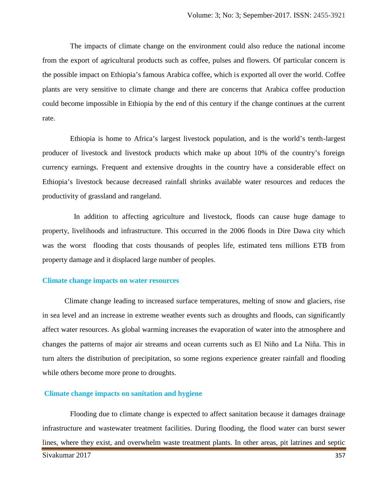The impacts of climate change on the environment could also reduce the national income from the export of agricultural products such as coffee, pulses and flowers. Of particular concern is the possible impact on Ethiopia's famous Arabica coffee, which is exported all over the world. Coffee plants are very sensitive to climate change and there are concerns that Arabica coffee production could become impossible in Ethiopia by the end of this century if the change continues at the current rate.

Ethiopia is home to Africa's largest livestock population, and is the world's tenth-largest producer of livestock and livestock products which make up about 10% of the country's foreign currency earnings. Frequent and extensive droughts in the country have a considerable effect on Ethiopia's livestock because decreased rainfall shrinks available water resources and reduces the productivity of grassland and rangeland.

In addition to affecting agriculture and livestock, floods can cause huge damage to property, livelihoods and infrastructure. This occurred in the 2006 floods in Dire Dawa city which was the worst flooding that costs thousands of peoples life, estimated tens millions ETB from property damage and it displaced large number of peoples.

#### **Climate change impacts on water resources**

Climate change leading to increased surface temperatures, melting of snow and glaciers, rise in sea level and an increase in extreme weather events such as droughts and floods, can significantly affect water resources. As global warming increases the evaporation of water into the atmosphere and changes the patterns of major air streams and ocean currents such as El Niño and La Niña. This in turn alters the distribution of precipitation, so some regions experience greater rainfall and flooding while others become more prone to droughts.

#### **Climate change impacts on sanitation and hygiene**

Flooding due to climate change is expected to affect sanitation because it damages drainage infrastructure and wastewater treatment facilities. During flooding, the flood water can burst sewer lines, where they exist, and overwhelm waste treatment plants. In other areas, pit latrines and septic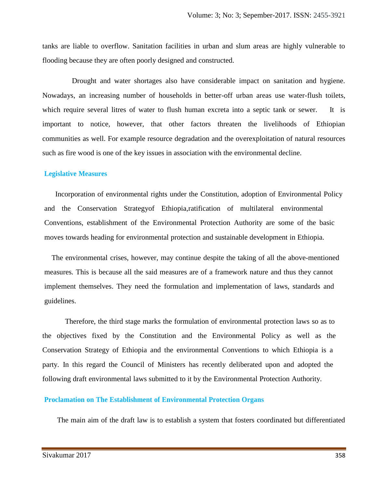tanks are liable to overflow. Sanitation facilities in urban and slum areas are highly vulnerable to flooding because they are often poorly designed and constructed.

Drought and water shortages also have considerable impact on sanitation and hygiene. Nowadays, an increasing number of households in better-off urban areas use water-flush toilets, which require several litres of water to flush human excreta into a septic tank or sewer. It is important to notice, however, that other factors threaten the livelihoods of Ethiopian communities as well. For example resource degradation and the overexploitation of natural resources such as fire wood is one of the key issues in association with the environmental decline.

## **Legislative Measures**

Incorporation of environmental rights under the Constitution, adoption of Environmental Policy and the Conservation Strategyof Ethiopia,ratification of multilateral environmental Conventions, establishment of the Environmental Protection Authority are some of the basic moves towards heading for environmental protection and sustainable development in Ethiopia.

The environmental crises, however, may continue despite the taking of all the above-mentioned measures. This is because all the said measures are of a framework nature and thus they cannot implement themselves. They need the formulation and implementation of laws, standards and guidelines.

Therefore, the third stage marks the formulation of environmental protection laws so as to the objectives fixed by the Constitution and the Environmental Policy as well as the Conservation Strategy of Ethiopia and the environmental Conventions to which Ethiopia is a party. In this regard the Council of Ministers has recently deliberated upon and adopted the following draft environmental laws submitted to it by the Environmental Protection Authority.

#### **Proclamation on The Establishment of Environmental Protection Organs**

The main aim of the draft law is to establish a system that fosters coordinated but differentiated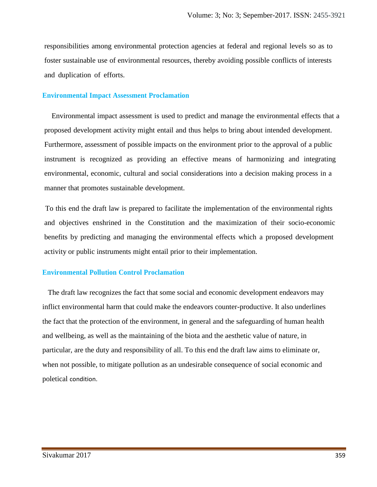responsibilities among environmental protection agencies at federal and regional levels so as to foster sustainable use of environmental resources, thereby avoiding possible conflicts of interests and duplication of efforts.

## **Environmental Impact Assessment Proclamation**

Environmental impact assessment is used to predict and manage the environmental effects that a proposed development activity might entail and thus helps to bring about intended development. Furthermore, assessment of possible impacts on the environment prior to the approval of a public instrument is recognized as providing an effective means of harmonizing and integrating environmental, economic, cultural and social considerations into a decision making process in a manner that promotes sustainable development.

To this end the draft law is prepared to facilitate the implementation of the environmental rights and objectives enshrined in the Constitution and the maximization of their socio-economic benefits by predicting and managing the environmental effects which a proposed development activity or public instruments might entail prior to their implementation.

# **Environmental Pollution Control Proclamation**

The draft law recognizes the fact that some social and economic development endeavors may inflict environmental harm that could make the endeavors counter-productive. It also underlines the fact that the protection of the environment, in general and the safeguarding of human health and wellbeing, as well as the maintaining of the biota and the aesthetic value of nature, in particular, are the duty and responsibility of all. To this end the draft law aims to eliminate or, when not possible, to mitigate pollution as an undesirable consequence of social economic and poletical condition.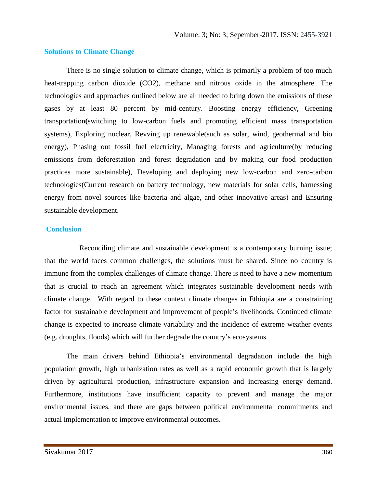#### **Solutions to Climate Change**

There is no single solution to climate change, which is primarily a problem of too much heat-trapping carbon dioxide (CO2), methane and nitrous oxide in the atmosphere. The technologies and approaches outlined below are all needed to bring down the emissions of these gases by at least 80 percent by mid-century. Boosting energy efficiency, Greening transportation**(**switching to low-carbon fuels and promoting efficient mass transportation systems), Exploring nuclear, Revving up renewable(such as solar, wind, geothermal and bio energy), Phasing out fossil fuel electricity, Managing forests and agriculture(by reducing emissions from deforestation and forest degradation and by making our food production practices more sustainable), Developing and deploying new low-carbon and zero-carbon technologies(Current research on battery technology, new materials for solar cells, harnessing energy from novel sources like bacteria and algae, and other innovative areas) and Ensuring sustainable development.

## **Conclusion**

Reconciling climate and sustainable development is a contemporary burning issue; that the world faces common challenges, the solutions must be shared. Since no country is immune from the complex challenges of climate change. There is need to have a new momentum that is crucial to reach an agreement which integrates sustainable development needs with climate change. With regard to these context climate changes in Ethiopia are a constraining factor for sustainable development and improvement of people's livelihoods. Continued climate change is expected to increase climate variability and the incidence of extreme weather events (e.g. droughts, floods) which will further degrade the country's ecosystems.

The main drivers behind Ethiopia's environmental degradation include the high population growth, high urbanization rates as well as a rapid economic growth that is largely driven by agricultural production, infrastructure expansion and increasing energy demand. Furthermore, institutions have insufficient capacity to prevent and manage the major environmental issues, and there are gaps between political environmental commitments and actual implementation to improve environmental outcomes.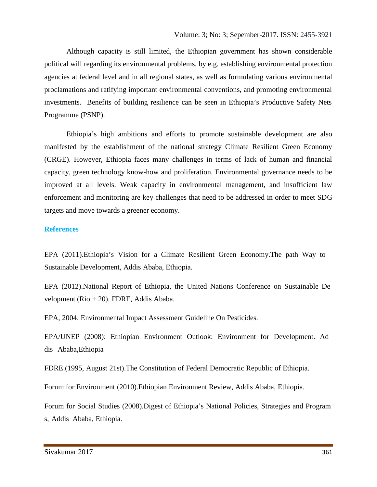Although capacity is still limited, the Ethiopian government has shown considerable political will regarding its environmental problems, by e.g. establishing environmental protection agencies at federal level and in all regional states, as well as formulating various environmental proclamations and ratifying important environmental conventions, and promoting environmental investments. Benefits of building resilience can be seen in Ethiopia's Productive Safety Nets Programme (PSNP).

Ethiopia's high ambitions and efforts to promote sustainable development are also manifested by the establishment of the national strategy Climate Resilient Green Economy (CRGE). However, Ethiopia faces many challenges in terms of lack of human and financial capacity, green technology know-how and proliferation. Environmental governance needs to be improved at all levels. Weak capacity in environmental management, and insufficient law enforcement and monitoring are key challenges that need to be addressed in order to meet SDG targets and move towards a greener economy.

# **References**

EPA (2011).Ethiopia's Vision for a Climate Resilient Green Economy.The path Way to Sustainable Development, Addis Ababa, Ethiopia.

EPA (2012).National Report of Ethiopia, the United Nations Conference on Sustainable De velopment (Rio + 20). FDRE, Addis Ababa.

EPA, 2004. Environmental Impact Assessment Guideline On Pesticides.

EPA/UNEP (2008): Ethiopian Environment Outlook: Environment for Development. Ad dis Ababa,Ethiopia

FDRE.(1995, August 21st).The Constitution of Federal Democratic Republic of Ethiopia.

Forum for Environment (2010).Ethiopian Environment Review, Addis Ababa, Ethiopia.

Forum for Social Studies (2008).Digest of Ethiopia's National Policies, Strategies and Program s, Addis Ababa, Ethiopia.